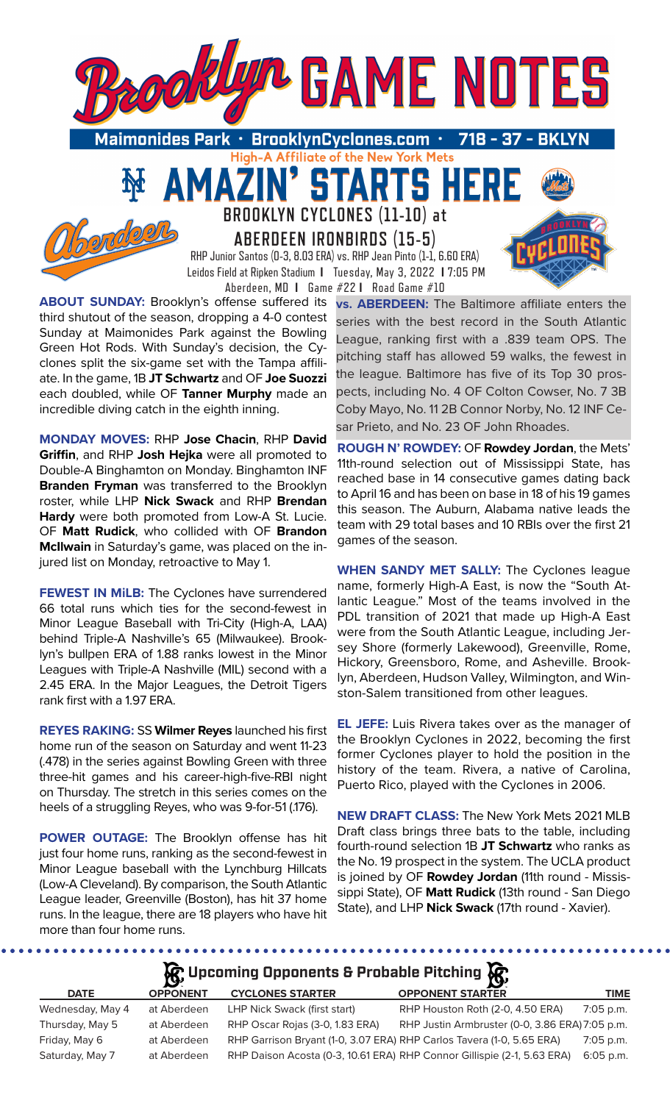

**High-A Affiliate of the New York Mets** 

TARTS HER

Maimonides Park  $\,\cdot\,$  BrooklynCyclones.com  $\,\cdot\,$ 718

51



**BROOKLYN CYCLONES (11-10) at ABERDEEN IRONBIRDS (15-5)**

RHP Junior Santos (0-3, 8.03 ERA) vs. RHP Jean Pinto (1-1, 6.60 ERA) Leidos Field at Ripken Stadium **I** Tuesday, May 3, 2022 **I** 7:05 PM Aberdeen, MD **I** Game #22 **I** Road Game #10

**ABOUT SUNDAY:** Brooklyn's offense suffered its third shutout of the season, dropping a 4-0 contest Sunday at Maimonides Park against the Bowling Green Hot Rods. With Sunday's decision, the Cyclones split the six-game set with the Tampa affiliate. In the game, 1B **JT Schwartz** and OF **Joe Suozzi**  each doubled, while OF **Tanner Murphy** made an incredible diving catch in the eighth inning.

AMAZ

**MONDAY MOVES:** RHP **Jose Chacin**, RHP **David Griffin**, and RHP **Josh Hejka** were all promoted to Double-A Binghamton on Monday. Binghamton INF **Branden Fryman** was transferred to the Brooklyn roster, while LHP **Nick Swack** and RHP **Brendan Hardy** were both promoted from Low-A St. Lucie. OF **Matt Rudick**, who collided with OF **Brandon McIlwain** in Saturday's game, was placed on the injured list on Monday, retroactive to May 1.

**FEWEST IN MiLB:** The Cyclones have surrendered 66 total runs which ties for the second-fewest in Minor League Baseball with Tri-City (High-A, LAA) behind Triple-A Nashville's 65 (Milwaukee). Brooklyn's bullpen ERA of 1.88 ranks lowest in the Minor Leagues with Triple-A Nashville (MIL) second with a 2.45 ERA. In the Major Leagues, the Detroit Tigers rank first with a 1.97 ERA.

**REYES RAKING:** SS **Wilmer Reyes** launched his first home run of the season on Saturday and went 11-23 (.478) in the series against Bowling Green with three three-hit games and his career-high-five-RBI night on Thursday. The stretch in this series comes on the heels of a struggling Reyes, who was 9-for-51 (.176).

**POWER OUTAGE:** The Brooklyn offense has hit just four home runs, ranking as the second-fewest in Minor League baseball with the Lynchburg Hillcats (Low-A Cleveland). By comparison, the South Atlantic League leader, Greenville (Boston), has hit 37 home runs. In the league, there are 18 players who have hit more than four home runs.

.........

**vs. ABERDEEN:** The Baltimore affiliate enters the series with the best record in the South Atlantic League, ranking first with a .839 team OPS. The pitching staff has allowed 59 walks, the fewest in the league. Baltimore has five of its Top 30 prospects, including No. 4 OF Colton Cowser, No. 7 3B Coby Mayo, No. 11 2B Connor Norby, No. 12 INF Cesar Prieto, and No. 23 OF John Rhoades.

**ROUGH N' ROWDEY:** OF **Rowdey Jordan**, the Mets' 11th-round selection out of Mississippi State, has reached base in 14 consecutive games dating back to April 16 and has been on base in 18 of his 19 games this season. The Auburn, Alabama native leads the team with 29 total bases and 10 RBIs over the first 21 games of the season.

**WHEN SANDY MET SALLY:** The Cyclones league name, formerly High-A East, is now the "South Atlantic League." Most of the teams involved in the PDL transition of 2021 that made up High-A East were from the South Atlantic League, including Jersey Shore (formerly Lakewood), Greenville, Rome, Hickory, Greensboro, Rome, and Asheville. Brooklyn, Aberdeen, Hudson Valley, Wilmington, and Winston-Salem transitioned from other leagues.

**EL JEFE:** Luis Rivera takes over as the manager of the Brooklyn Cyclones in 2022, becoming the first former Cyclones player to hold the position in the history of the team. Rivera, a native of Carolina, Puerto Rico, played with the Cyclones in 2006.

**NEW DRAFT CLASS:** The New York Mets 2021 MLB Draft class brings three bats to the table, including fourth-round selection 1B **JT Schwartz** who ranks as the No. 19 prospect in the system. The UCLA product is joined by OF **Rowdey Jordan** (11th round - Mississippi State), OF **Matt Rudick** (13th round - San Diego State), and LHP **Nick Swack** (17th round - Xavier).

## **R** Upcoming Opponents & Probable Pitching

| <b>DATE</b>      | <b>OPPONENT</b> | <b>CYCLONES STARTER</b>                                               | <b>OPPONENT STARTER</b>                                                 | <b>TIME</b> |
|------------------|-----------------|-----------------------------------------------------------------------|-------------------------------------------------------------------------|-------------|
| Wednesday, May 4 | at Aberdeen     | LHP Nick Swack (first start)                                          | RHP Houston Roth (2-0, 4.50 ERA)                                        | 7:05 p.m.   |
| Thursday, May 5  | at Aberdeen     | RHP Oscar Rojas (3-0, 1.83 ERA)                                       | RHP Justin Armbruster (0-0, 3.86 ERA) 7:05 p.m.                         |             |
| Friday, May 6    | at Aberdeen     | RHP Garrison Bryant (1-0, 3.07 ERA) RHP Carlos Tavera (1-0, 5.65 ERA) |                                                                         | $7:05$ p.m. |
| Saturday, May 7  | at Aberdeen     |                                                                       | RHP Daison Acosta (0-3, 10.61 ERA) RHP Connor Gillispie (2-1, 5.63 ERA) | $6:05$ p.m. |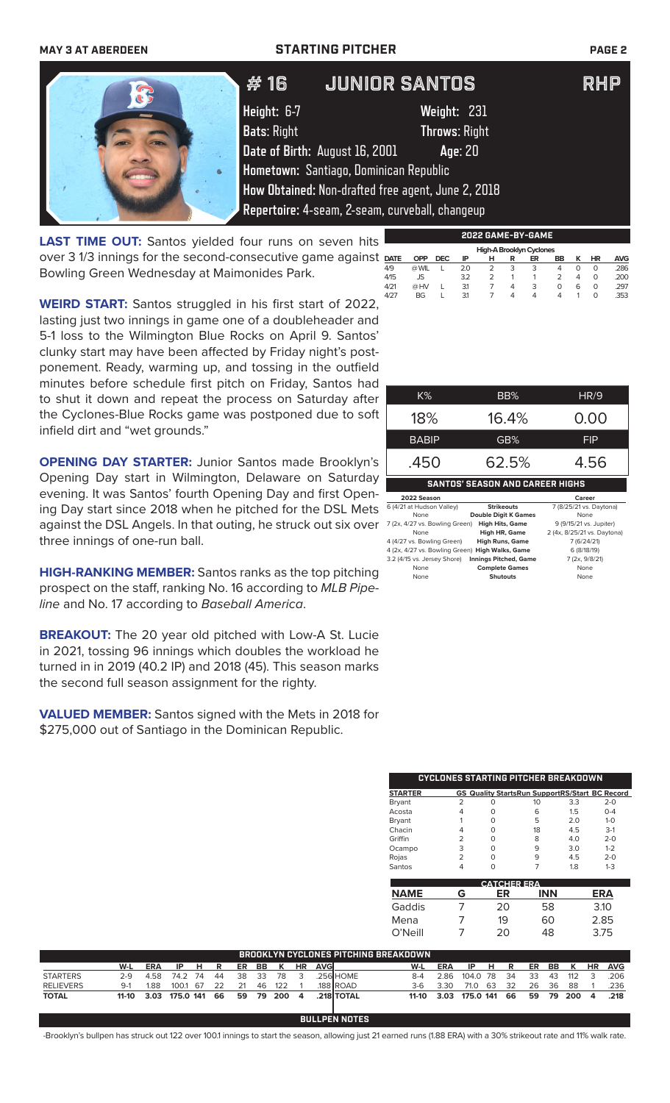### **MAY 3 AT ABERDEEN STARTING PITCHER PAGE 2**

**Height:** 6-7 **Weight:** 231 **Bats**: Right **Throws**: Right **Date of Birth:** August 16, 2001 **Age**: 20 **Hometown:** Santiago, Dominican Republic **How Obtained:** Non-drafted free agent, June 2, 2018 **Repertoire:** 4-seam, 2-seam, curveball, changeup # 16 Junior Santos RHP

**LAST TIME OUT:** Santos yielded four runs on seven hits over 3 1/3 innings for the second-consecutive game against Bowling Green Wednesday at Maimonides Park.

**WEIRD START:** Santos struggled in his first start of 2022, lasting just two innings in game one of a doubleheader and 5-1 loss to the Wilmington Blue Rocks on April 9. Santos' clunky start may have been affected by Friday night's postponement. Ready, warming up, and tossing in the outfield minutes before schedule first pitch on Friday, Santos ha to shut it down and repeat the process on Saturday after the Cyclones-Blue Rocks game was postponed due to so infield dirt and "wet grounds."

**OPENING DAY STARTER: Junior Santos made Brooklyn** Opening Day start in Wilmington, Delaware on Saturday evening. It was Santos' fourth Opening Day and first Opening Day start since 2018 when he pitched for the DSL Mets against the DSL Angels. In that outing, he struck out six over three innings of one-run ball.

**HIGH-RANKING MEMBER:** Santos ranks as the top pitching prospect on the staff, ranking No. 16 according to *MLB Pipeline* and No. 17 according to *Baseball America*.

**BREAKOUT:** The 20 year old pitched with Low-A St. Lucie in 2021, tossing 96 innings which doubles the workload he turned in in 2019 (40.2 IP) and 2018 (45). This season marks the second full season assignment for the righty.

**VALUED MEMBER:** Santos signed with the Mets in 2018 for \$275,000 out of Santiago in the Dominican Republic.

| שו<br>ıd |              |       |            |  |
|----------|--------------|-------|------------|--|
| эr       | $K\%$        | BB%   | HR/9       |  |
| ١ft      | 18%          | 16.4% | 0.00       |  |
|          | <b>BABIP</b> | GB%   | <b>FIP</b> |  |
| 's<br>17 | .450         | 62.5% | 4.56       |  |

**SANTOS' SEASON AND CAREER HIGHS 2022 Season Career**

| 0 (4/2) di muusuli valley)                        | <b>SURCOULS</b>             | 7 10/25/21 VS.1   |
|---------------------------------------------------|-----------------------------|-------------------|
| None                                              | <b>Double Digit K Games</b> | None              |
| 7 (2x, 4/27 vs. Bowling Green)                    | <b>High Hits, Game</b>      | 9 (9/15/21 vs.    |
| None                                              | High HR, Game               | 2 (4x, 8/25/21 vs |
| 4 (4/27 vs. Bowling Green)                        | <b>High Runs, Game</b>      | 7(6/24)           |
| 4 (2x, 4/27 vs. Bowling Green) High Walks, Game   |                             | 6 (8/18/          |
| 3.2 (4/15 vs. Jersey Shore) Innings Pitched, Game |                             | 7(2x, 9/8)        |
| None                                              | <b>Complete Games</b>       | None              |
| None                                              | <b>Shutouts</b>             | None              |
|                                                   |                             |                   |

7 (8/25/21 vs. Daytona) 7 (2x, 4/27 vs. Bowling Green) **High Hits, Game** 9 (9/15/21 vs. Jupiter) None **High HR, Game** 2 (4x, 8/25/21 vs. Daytona) 4 (4/27 vs. Bowling Green) **High Runs, Game** 7 (6/24/21)  $6 (8/18/19)$ 3.2 (4/15 vs. Jersey Shore) **Innings Pitched, Game** 7 (2x, 9/8/21)

|                |   |   | <b>CYCLONES STARTING PITCHER BREAKDOWN</b>            |     |         |
|----------------|---|---|-------------------------------------------------------|-----|---------|
| <b>STARTER</b> |   |   | <b>GS Quality StartsRun SupportRS/Start BC Record</b> |     |         |
| <b>Bryant</b>  | っ | 0 | 10                                                    | 3.3 | $2 - 0$ |
| Acosta         | 4 | O | 6                                                     | 1.5 | $O - 4$ |
| Bryant         |   | O | 5                                                     | 2.0 | $1 - 0$ |
| Chacin         | 4 | O | 18                                                    | 4.5 | $3-1$   |
| Griffin        | 2 | O | 8                                                     | 4.0 | $2 - 0$ |
| Ocampo         | 3 | O | 9                                                     | 3.0 | $1 - 2$ |
| Rojas          | 2 | O | q                                                     | 4.5 | $2 - 0$ |
| Santos         |   |   |                                                       | 1.8 | $1 - 3$ |

| <b>CATCHER ERA</b> |   |    |            |      |  |  |  |  |
|--------------------|---|----|------------|------|--|--|--|--|
| <b>NAME</b>        | G | ER | <b>INN</b> | ERA  |  |  |  |  |
| Gaddis             |   | 20 | 58         | 3.10 |  |  |  |  |
| Mena               |   | 19 | 60         | 2.85 |  |  |  |  |
| $O'$ Neill         |   | 20 | 48         | 3.75 |  |  |  |  |

|                  |       |            |           |     |    |    |    |     |    |             | <b>BROOKLYN CYCLONES PITCHING BREAKDOWN</b> |       |       |           |     |      |    |    |     |           |            |
|------------------|-------|------------|-----------|-----|----|----|----|-----|----|-------------|---------------------------------------------|-------|-------|-----------|-----|------|----|----|-----|-----------|------------|
|                  | W-L   | <b>ERA</b> | IP        | н   | R  | ER | BB | к   | ΗR | <b>AVGI</b> |                                             | W-L   | ERA   | IP        | н.  | R    | ER | BB | K   | <b>HR</b> | <b>AVG</b> |
| <b>STARTERS</b>  | 2-9   | 4.58       | 74 2      | 74  | 44 | 38 | 33 | 78  | 3  |             | .256 HOME                                   | $8-4$ | 2 86. | 104.0     | -78 | 34   | 33 | 43 | 112 |           | .206       |
| <b>RELIEVERS</b> | $9-1$ | 1.88       | 100.1     | -67 | フフ |    | 46 | 122 |    |             | 188 ROAD.                                   | 3-6   | 3.30  | 71 O      | 63  | 32   | 26 | 36 | 88  |           | 236        |
| <b>TOTAL</b>     | 11-10 | 3.03       | 175.0 141 |     | 66 | 59 | 79 | 200 | 4  |             | .218 TOTAL                                  | 11-10 | 3.03  | 175.0 141 |     | - 66 | 59 | 79 | 200 | 4         | .218       |
|                  |       |            |           |     |    |    |    |     |    |             |                                             |       |       |           |     |      |    |    |     |           |            |
|                  |       |            |           |     |    |    |    |     |    |             | <b>BULLPEN NOTES</b>                        |       |       |           |     |      |    |    |     |           |            |

-Brooklyn's bullpen has struck out 122 over 100.1 innings to start the season, allowing just 21 earned runs (1.88 ERA) with a 30% strikeout rate and 11% walk rate.



|             |       |            |     |                |   | High-A Brooklyn Cyclones |    |   |    |            |
|-------------|-------|------------|-----|----------------|---|--------------------------|----|---|----|------------|
| <b>DATE</b> | OPP   | <b>DEC</b> | ΙP  | н              | R | ER                       | BB | к | HR | <b>AVG</b> |
| 4/9         | @ WIL |            | 2.0 | $\overline{2}$ | 3 | 3                        | 4  | O | 0  | .286       |
| 4/15        | JS.   |            | 3.2 | $\overline{2}$ |   |                          |    | 4 | O  | .200       |
| 4/21        | @ HV  |            | 3.1 |                | 4 | 3                        | O  | 6 | O  | .297       |
| 4/27        | BG    |            | 31  |                | 4 | 4                        | Δ  |   | O  | .353       |
|             |       |            |     |                |   |                          |    |   |    |            |

**2022 GAME-BY-GAME**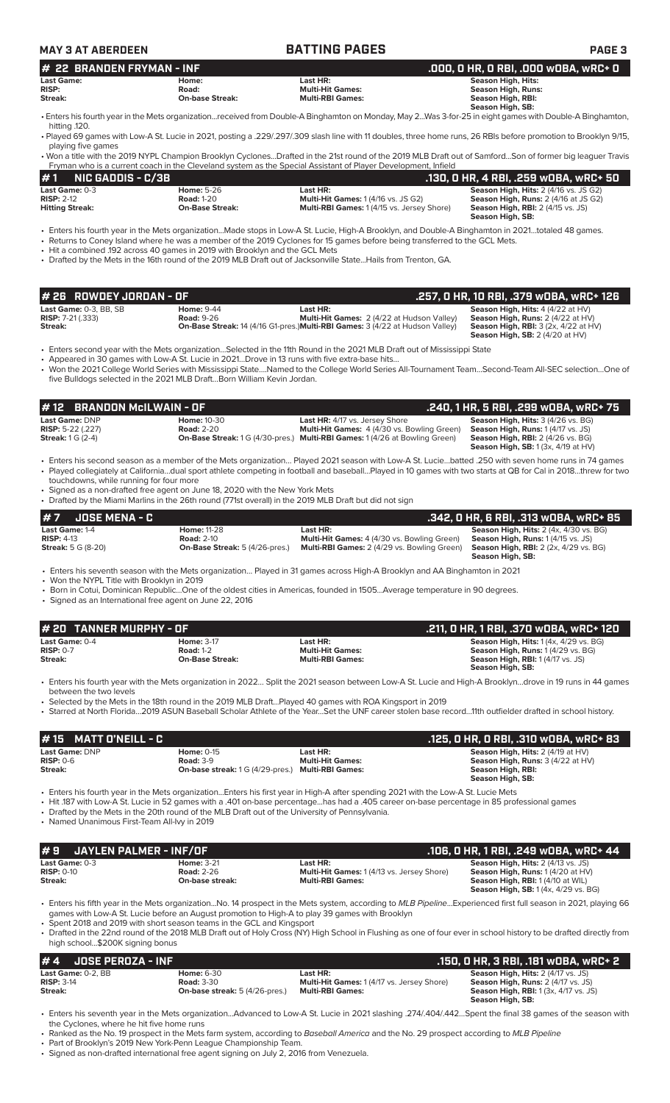| <b>MAY 3 AT ABERDEEN</b>                                        |                                                                                                 | <b>BATTING PAGES</b>                                                                                                                                                                                                                                                             | PAGE <sub>3</sub>                                                                                                                                                                                                                                                                                                    |
|-----------------------------------------------------------------|-------------------------------------------------------------------------------------------------|----------------------------------------------------------------------------------------------------------------------------------------------------------------------------------------------------------------------------------------------------------------------------------|----------------------------------------------------------------------------------------------------------------------------------------------------------------------------------------------------------------------------------------------------------------------------------------------------------------------|
| <b>22 BRANDEN FRYMAN - INF</b><br>#                             |                                                                                                 |                                                                                                                                                                                                                                                                                  | .000, 0 HR, 0 RBI, .000 w0BA, wRC+ 0                                                                                                                                                                                                                                                                                 |
| <b>Last Game:</b><br>RISP:<br>Streak:                           | Home:<br>Road:<br><b>On-base Streak:</b>                                                        | Last HR:<br><b>Multi-Hit Games:</b><br><b>Multi-RBI Games:</b>                                                                                                                                                                                                                   | <b>Season High, Hits:</b><br><b>Season High, Runs:</b><br>Season High, RBI:<br>Season High, SB:                                                                                                                                                                                                                      |
| hitting .120.                                                   |                                                                                                 |                                                                                                                                                                                                                                                                                  | • Enters his fourth year in the Mets organizationreceived from Double-A Binghamton on Monday, May 2Was 3-for-25 in eight games with Double-A Binghamton,                                                                                                                                                             |
| playing five games                                              |                                                                                                 |                                                                                                                                                                                                                                                                                  | • Played 69 games with Low-A St. Lucie in 2021, posting a .229/.297/.309 slash line with 11 doubles, three home runs, 26 RBIs before promotion to Brooklyn 9/15,                                                                                                                                                     |
|                                                                 |                                                                                                 | Fryman who is a current coach in the Cleveland system as the Special Assistant of Player Development, Infield                                                                                                                                                                    | • Won a title with the 2019 NYPL Champion Brooklyn CyclonesDrafted in the 21st round of the 2019 MLB Draft out of SamfordSon of former big leaguer Travis                                                                                                                                                            |
| <b>NIC GADDIS - C/3B</b><br>#1<br>Last Game: 0-3                | <b>Home: 5-26</b>                                                                               | Last HR:                                                                                                                                                                                                                                                                         | .130, 0 HR, 4 RBI, .259 w0BA, wRC+ 50<br>Season High, Hits: 2 (4/16 vs. JS G2)                                                                                                                                                                                                                                       |
| <b>RISP: 2-12</b><br><b>Hitting Streak:</b>                     | <b>Road: 1-20</b><br><b>On-Base Streak:</b>                                                     | <b>Multi-Hit Games: 1 (4/16 vs. JS G2)</b><br>Multi-RBI Games: 1 (4/15 vs. Jersey Shore)                                                                                                                                                                                         | Season High, Runs: 2 (4/16 at JS G2)<br>Season High, RBI: 2 (4/15 vs. JS)<br>Season High, SB:                                                                                                                                                                                                                        |
|                                                                 | • Hit a combined .192 across 40 games in 2019 with Brooklyn and the GCL Mets                    | • Returns to Coney Island where he was a member of the 2019 Cyclones for 15 games before being transferred to the GCL Mets.<br>• Drafted by the Mets in the 16th round of the 2019 MLB Draft out of Jacksonville StateHails from Trenton, GA.                                    | • Enters his fourth year in the Mets organization…Made stops in Low-A St. Lucie, High-A Brooklyn, and Double-A Binghamton in 2021…totaled 48 games.                                                                                                                                                                  |
|                                                                 |                                                                                                 |                                                                                                                                                                                                                                                                                  |                                                                                                                                                                                                                                                                                                                      |
| #26 ROWDEY JORDAN - OF<br>Last Game: 0-3, BB, SB                | <b>Home: 9-44</b>                                                                               | Last HR:                                                                                                                                                                                                                                                                         | .257, 0 HR, 10 RBI, .379 w0BA, wRC+ 126<br>Season High, Hits: 4 (4/22 at HV)                                                                                                                                                                                                                                         |
| <b>RISP:</b> 7-21 (.333)<br>Streak:                             | <b>Road: 9-26</b>                                                                               | Multi-Hit Games: 2 (4/22 at Hudson Valley)<br>On-Base Streak: 14 (4/16 G1-pres.) Multi-RBI Games: 3 (4/22 at Hudson Valley)                                                                                                                                                      | Season High, Runs: 2 (4/22 at HV)<br><b>Season High, RBI:</b> 3 (2x, 4/22 at HV)<br><b>Season High, SB: 2 (4/20 at HV)</b>                                                                                                                                                                                           |
|                                                                 | five Bulldogs selected in the 2021 MLB DraftBorn William Kevin Jordan.                          | • Enters second year with the Mets organizationSelected in the 11th Round in the 2021 MLB Draft out of Mississippi State<br>• Appeared in 30 games with Low-A St. Lucie in 2021Drove in 13 runs with five extra-base hits                                                        | • Won the 2021 College World Series with Mississippi StateNamed to the College World Series All-Tournament TeamSecond-Team All-SEC selectionOne of                                                                                                                                                                   |
| # 12                                                            | <b>BRANDON McILWAIN - OF</b>                                                                    |                                                                                                                                                                                                                                                                                  | .240, 1 HR, 5 RBI, .299 wOBA, wRC+ 75                                                                                                                                                                                                                                                                                |
| Last Game: DNP<br>RISP: 5-22 (.227)<br><b>Streak: 1 G (2-4)</b> | <b>Home: 10-30</b><br><b>Road: 2-20</b>                                                         | Last HR: 4/17 vs. Jersey Shore<br>Multi-Hit Games: 4 (4/30 vs. Bowling Green)<br><b>On-Base Streak: 1 G (4/30-pres.) Multi-RBI Games: 1 (4/26 at Bowling Green)</b>                                                                                                              | Season High, Hits: 3 (4/26 vs. BG)<br>Season High, Runs: 1 (4/17 vs. JS)<br>Season High, RBI: 2 (4/26 vs. BG)<br><b>Season High, SB:</b> 1 (3x, 4/19 at HV)                                                                                                                                                          |
| touchdowns, while running for four more                         | • Signed as a non-drafted free agent on June 18, 2020 with the New York Mets                    | • Drafted by the Miami Marlins in the 26th round (771st overall) in the 2019 MLB Draft but did not sign                                                                                                                                                                          | • Enters his second season as a member of the Mets organization Played 2021 season with Low-A St. Luciebatted .250 with seven home runs in 74 games<br>• Played collegiately at Californiadual sport athlete competing in football and baseballPlayed in 10 games with two starts at QB for Cal in 2018threw for two |
| <b>JOSE MENA - C</b><br>Last Game: 1-4                          | <b>Home: 11-28</b>                                                                              | Last HR:                                                                                                                                                                                                                                                                         | .342, 0 HR, 6 RBI, .313 wOBA, wRC+ 85<br>Season High, Hits: 2 (4x, 4/30 vs. BG)                                                                                                                                                                                                                                      |
| $RISP: 4-13$<br><b>Streak: 5 G (8-20)</b>                       | <b>Road: 2-10</b><br><b>On-Base Streak:</b> 5 (4/26-pres.)                                      | Multi-Hit Games: 4 (4/30 vs. Bowling Green)<br>Multi-RBI Games: 2 (4/29 vs. Bowling Green)                                                                                                                                                                                       | Season High, Runs: 1 (4/15 vs. JS)<br><b>Season High, RBI:</b> 2 (2x, 4/29 vs. BG)<br>Season High, SB:                                                                                                                                                                                                               |
| • Won the NYPL Title with Brooklyn in 2019                      |                                                                                                 | • Enters his seventh season with the Mets organization Played in 31 games across High-A Brooklyn and AA Binghamton in 2021                                                                                                                                                       |                                                                                                                                                                                                                                                                                                                      |
|                                                                 | • Signed as an International free agent on June 22, 2016                                        | • Born in Cotui, Dominican RepublicOne of the oldest cities in Americas, founded in 1505Average temperature in 90 degrees.                                                                                                                                                       |                                                                                                                                                                                                                                                                                                                      |
| # 20 TANNER MURPHY - OF                                         |                                                                                                 |                                                                                                                                                                                                                                                                                  | .211, 0 HR, 1 RBI, .370 WOBA, WRC+ 120                                                                                                                                                                                                                                                                               |
| Last Game: 0-4<br><b>RISP: 0-7</b><br>Streak:                   | <b>Home: 3-17</b><br><b>Road: 1-2</b><br><b>On-Base Streak:</b>                                 | Last HR:<br><b>Multi-Hit Games:</b><br><b>Multi-RBI Games:</b>                                                                                                                                                                                                                   | <b>Season High, Hits: 1 (4x, 4/29 vs. BG)</b><br>Season High, Runs: 1 (4/29 vs. BG)<br><b>Season High, RBI:</b> 1 (4/17 vs. JS)<br>Season High, SB:                                                                                                                                                                  |
| between the two levels                                          |                                                                                                 |                                                                                                                                                                                                                                                                                  | Enters his fourth year with the Mets organization in 2022 Split the 2021 season between Low-A St. Lucie and High-A Brooklyndrove in 19 runs in 44 games                                                                                                                                                              |
|                                                                 |                                                                                                 | • Selected by the Mets in the 18th round in the 2019 MLB DraftPlayed 40 games with ROA Kingsport in 2019                                                                                                                                                                         | • Starred at North Florida2019 ASUN Baseball Scholar Athlete of the YearSet the UNF career stolen base record11th outfielder drafted in school history.                                                                                                                                                              |
| #15<br><b>MATT O'NEILL - C</b>                                  |                                                                                                 |                                                                                                                                                                                                                                                                                  | .125, 0 HR, 0 RBI, .310 w0BA, wRC+ 83                                                                                                                                                                                                                                                                                |
| Last Game: DNP<br><b>RISP: 0-6</b><br>Streak:                   | <b>Home: 0-15</b><br><b>Road: 3-9</b><br><b>On-base streak:</b> 1 G (4/29-pres.)                | Last HR:<br><b>Multi-Hit Games:</b><br><b>Multi-RBI Games:</b>                                                                                                                                                                                                                   | Season High, Hits: 2 (4/19 at HV)<br>Season High, Runs: 3 (4/22 at HV)<br>Season High, RBI:<br>Season High, SB:                                                                                                                                                                                                      |
| • Named Unanimous First-Team All-lvy in 2019                    | • Drafted by the Mets in the 20th round of the MLB Draft out of the University of Pennsylvania. | • Enters his fourth year in the Mets organizationEnters his first year in High-A after spending 2021 with the Low-A St. Lucie Mets<br>• Hit 187 with Low-A St. Lucie in 52 games with a .401 on-base percentagehas had a .405 career on-base percentage in 85 professional games |                                                                                                                                                                                                                                                                                                                      |
| #9                                                              | <b>JAYLEN PALMER - INF/OF</b>                                                                   |                                                                                                                                                                                                                                                                                  | .106, 0 HR, 1 RBI, .249 w0BA, wRC+ 44                                                                                                                                                                                                                                                                                |
| Last Game: 0-3<br><b>RISP: 0-10</b><br>Streak:                  | <b>Home: 3-21</b><br><b>Road: 2-26</b><br>On-base streak:                                       | Last HR:<br>Multi-Hit Games: 1 (4/13 vs. Jersey Shore)<br><b>Multi-RBI Games:</b>                                                                                                                                                                                                | Season High, Hits: 2 (4/13 vs. JS)<br>Season High, Runs: 1 (4/20 at HV)<br>Season High, RBI: 1 (4/10 at WIL)                                                                                                                                                                                                         |

• Enters his fifth year in the Mets organization...No. 14 prospect in the Mets system, according to *MLB Pipeline*...Experienced first full season in 2021, playing 66 games with Low-A St. Lucie before an August promotion to High-A to play 39 games with Brooklyn

**Season High, SB:** 1 (4x, 4/29 vs. BG)

• Spent 2018 and 2019 with short season teams in the GCL and Kingsport

• Drafted in the 22nd round of the 2018 MLB Draft out of Holy Cross (NY) High School in Flushing as one of four ever in school history to be drafted directly from high school...\$200K signing bonus

**# 4 JOSE PEROZA - INF .150, 0 HR, 3 RBI, .181 wOBA, wRC+ 2 Last Game:** 0-2, BB **Home:** 6-30 **Last HR: Season High, Hits:** 2 (4/17 vs. JS) **RISP:** 3-14 **Road:** 3-30 **Multi-Hit Games:** 1 (4/17 vs. Jersey Shore) **Season High, Runs:** 2 (4/17 vs. JS) **Streak: On-base streak:** 5 (4/26-pres.) **Multi-RBI Games: Season High, RBI:** 1 (3x, 4/17 vs. JS) **Season High, RBI:** 1 (3x, 4/17 vs. 35)<br>**Season High, RBI:** 1 (3x, 4/17 vs. JS)<br>**Season High, SB:** 

• Enters his seventh year in the Mets organization...Advanced to Low-A St. Lucie in 2021 slashing .274/.404/.442…Spent the final 38 games of the season with the Cyclones, where he hit five home runs

• Ranked as the No. 19 prospect in the Mets farm system, according to *Baseball America* and the No. 29 prospect according to *MLB Pipeline*

• Part of Brooklyn's 2019 New York-Penn League Championship Team.

• Signed as non-drafted international free agent signing on July 2, 2016 from Venezuela.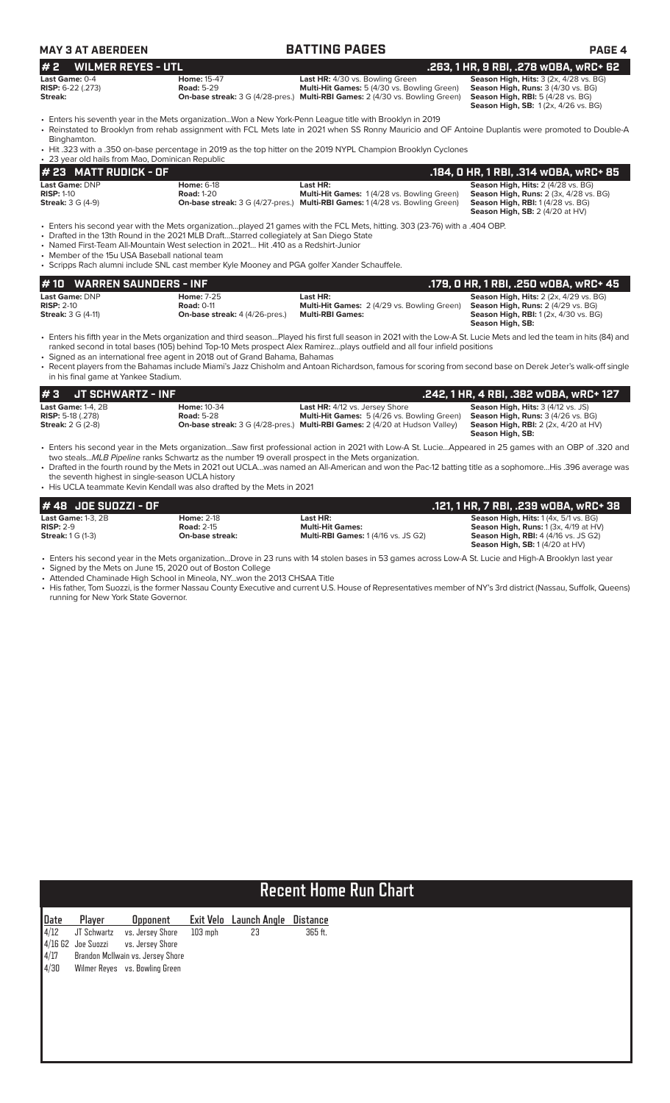| MAY 3 AT ABERDEEN |
|-------------------|
|-------------------|

| <b>MAY 3 AT ABERDEEN</b>                                                              |                                                                                                                                                                                                                                                                                | <b>BATTING PAGES</b>                                                                                                                                                                                                                                                                                                                                                                                                                                             | <b>PAGE 4</b>                                                                                                                                                   |
|---------------------------------------------------------------------------------------|--------------------------------------------------------------------------------------------------------------------------------------------------------------------------------------------------------------------------------------------------------------------------------|------------------------------------------------------------------------------------------------------------------------------------------------------------------------------------------------------------------------------------------------------------------------------------------------------------------------------------------------------------------------------------------------------------------------------------------------------------------|-----------------------------------------------------------------------------------------------------------------------------------------------------------------|
| #2<br><b>WILMER REYES - UTL</b>                                                       |                                                                                                                                                                                                                                                                                |                                                                                                                                                                                                                                                                                                                                                                                                                                                                  | .263, 1 HR, 9 RBI, .278 wOBA, wRC+ 62                                                                                                                           |
| Last Game: 0-4<br>RISP: 6-22 (.273)<br>Streak:                                        | <b>Home: 15-47</b><br><b>Road: 5-29</b>                                                                                                                                                                                                                                        | Last HR: 4/30 vs. Bowling Green<br>Multi-Hit Games: 5 (4/30 vs. Bowling Green)<br><b>On-base streak:</b> 3 G (4/28-pres.) Multi-RBI Games: 2 (4/30 vs. Bowling Green)                                                                                                                                                                                                                                                                                            | Season High, Hits: 3 (2x, 4/28 vs. BG)<br>Season High, Runs: 3 (4/30 vs. BG)<br><b>Season High, RBI:</b> 5 (4/28 vs. BG)<br>Season High, SB: 1(2x, 4/26 vs. BG) |
| Binghamton.                                                                           |                                                                                                                                                                                                                                                                                | • Enters his seventh year in the Mets organizationWon a New York-Penn League title with Brooklyn in 2019<br>• Reinstated to Brooklyn from rehab assignment with FCL Mets late in 2021 when SS Ronny Mauricio and OF Antoine Duplantis were promoted to Double-A<br>• Hit .323 with a .350 on-base percentage in 2019 as the top hitter on the 2019 NYPL Champion Brooklyn Cyclones                                                                               |                                                                                                                                                                 |
| • 23 year old hails from Mao, Dominican Republic                                      |                                                                                                                                                                                                                                                                                |                                                                                                                                                                                                                                                                                                                                                                                                                                                                  |                                                                                                                                                                 |
| # 23 MATT RUDICK - OF                                                                 |                                                                                                                                                                                                                                                                                |                                                                                                                                                                                                                                                                                                                                                                                                                                                                  | .184, 0 HR, 1 RBI, .314 wOBA, wRC+ 85                                                                                                                           |
| Last Game: DNP<br><b>RISP: 1-10</b><br><b>Streak: 3 G (4-9)</b>                       | <b>Home: 6-18</b><br><b>Road: 1-20</b>                                                                                                                                                                                                                                         | Last HR:<br>Multi-Hit Games: 1 (4/28 vs. Bowling Green)<br>On-base streak: 3 G (4/27-pres.) Multi-RBI Games: 1 (4/28 vs. Bowling Green)                                                                                                                                                                                                                                                                                                                          | Season High, Hits: 2 (4/28 vs. BG)<br>Season High, Runs: 2 (3x, 4/28 vs. BG)<br>Season High, RBI: 1 (4/28 vs. BG)<br><b>Season High, SB: 2 (4/20 at HV)</b>     |
| • Member of the 15u USA Baseball national team<br>#10<br><b>WARREN SAUNDERS - INF</b> | • Drafted in the 13th Round in the 2021 MLB DraftStarred collegiately at San Diego State<br>• Named First-Team All-Mountain West selection in 2021 Hit 410 as a Redshirt-Junior<br>• Scripps Rach alumni include SNL cast member Kyle Mooney and PGA golfer Xander Schauffele. |                                                                                                                                                                                                                                                                                                                                                                                                                                                                  | .179, 0 HR, 1 RBI, .250 wOBA, wRC+ 45                                                                                                                           |
| Last Game: DNP                                                                        | <b>Home: 7-25</b>                                                                                                                                                                                                                                                              | Last HR:                                                                                                                                                                                                                                                                                                                                                                                                                                                         | Season High, Hits: 2 (2x, 4/29 vs. BG)                                                                                                                          |
| <b>RISP: 2-10</b><br><b>Streak:</b> 3 G (4-11)                                        | <b>Road: 0-11</b><br>On-base streak: 4 (4/26-pres.)                                                                                                                                                                                                                            | Multi-Hit Games: 2 (4/29 vs. Bowling Green)<br><b>Multi-RBI Games:</b>                                                                                                                                                                                                                                                                                                                                                                                           | Season High, Runs: 2 (4/29 vs. BG)<br><b>Season High, RBI:</b> 1 (2x, 4/30 vs. BG)<br>Season High, SB:                                                          |
| in his final game at Yankee Stadium.                                                  | • Signed as an international free agent in 2018 out of Grand Bahama, Bahamas                                                                                                                                                                                                   | • Enters his fifth year in the Mets organization and third seasonPlayed his first full season in 2021 with the Low-A St. Lucie Mets and led the team in hits (84) and<br>ranked second in total bases (105) behind Top-10 Mets prospect Alex Ramirezplays outfield and all four infield positions<br>• Recent players from the Bahamas include Miami's Jazz Chisholm and Antoan Richardson, famous for scoring from second base on Derek Jeter's walk-off single |                                                                                                                                                                 |
| #3<br><b>JT SCHWARTZ - INF</b>                                                        |                                                                                                                                                                                                                                                                                |                                                                                                                                                                                                                                                                                                                                                                                                                                                                  | .242, 1 HR, 4 RBI, .382 WOBA, WRC+ 127                                                                                                                          |
| Last Game: 1-4, 2B<br><b>RISP: 5-18 (.278)</b><br><b>Streak: 2 G (2-8)</b>            | <b>Home: 10-34</b><br><b>Road: 5-28</b>                                                                                                                                                                                                                                        | Last HR: 4/12 vs. Jersey Shore<br>Multi-Hit Games: 5 (4/26 vs. Bowling Green)<br>On-base streak: 3 G (4/28-pres.) Multi-RBI Games: 2 (4/20 at Hudson Valley)                                                                                                                                                                                                                                                                                                     | Season High, Hits: 3 (4/12 vs. JS)<br>Season High, Runs: 3 (4/26 vs. BG)<br>Season High, RBI: 2 (2x, 4/20 at HV)<br>Season High, SB:                            |
| the seventh highest in single-season UCLA history                                     | two stealsMLB Pipeline ranks Schwartz as the number 19 overall prospect in the Mets organization.                                                                                                                                                                              | • Enters his second year in the Mets organizationSaw first professional action in 2021 with Low-A St. LucieAppeared in 25 games with an OBP of .320 and<br>• Drafted in the fourth round by the Mets in 2021 out UCLAwas named an All-American and won the Pac-12 batting title as a sophomoreHis .396 average was                                                                                                                                               |                                                                                                                                                                 |

• His UCLA teammate Kevin Kendall was also drafted by the Mets in 2021

| # 48  JOE SUOZZI - OF    |                   |                                           | .121. 1 HR. 7 RBI. .239 wOBA. wRC+ 38            |
|--------------------------|-------------------|-------------------------------------------|--------------------------------------------------|
| Last Game: $1-3$ . $2B$  | <b>Home: 2-18</b> | Last HR:                                  | <b>Season High, Hits: 1 (4x, 5/1 vs. BG)</b>     |
| $RISP: 2-9$              | <b>Road: 2-15</b> | <b>Multi-Hit Games:</b>                   | <b>Season High, Runs:</b> $1(3x, 4/19$ at $HV$ ) |
| <b>Streak:</b> 1 G (1-3) | On-base streak:   | <b>Multi-RBI Games: 1(4/16 vs. JS G2)</b> | <b>Season High, RBI: 4 (4/16 vs. JS G2)</b>      |
|                          |                   |                                           | <b>Season High, SB: 1(4/20 at HV)</b>            |

• Enters his second year in the Mets organization...Drove in 23 runs with 14 stolen bases in 53 games across Low-A St. Lucie and High-A Brooklyn last year

• Signed by the Mets on June 15, 2020 out of Boston College • Attended Chaminade High School in Mineola, NY...won the 2013 CHSAA Title

• His father, Tom Suozzi, is the former Nassau County Executive and current U.S. House of Representatives member of NY's 3rd district (Nassau, Suffolk, Queens) running for New York State Governor.

# **Recent Home Run Chart**

| Date                | Player             | Opponent                            |         | Exit Velo Launch Angle Distance |         |
|---------------------|--------------------|-------------------------------------|---------|---------------------------------|---------|
|                     | $4/12$ JT Schwartz | vs. Jersey Shore                    | 103 mph | 23                              | 365 ft. |
|                     |                    | 4/16 G2 Joe Suozzi vs. Jersey Shore |         |                                 |         |
| $\frac{4/17}{4/30}$ |                    | Brandon McIlwain vs. Jersey Shore   |         |                                 |         |
|                     |                    | Wilmer Reyes vs. Bowling Green      |         |                                 |         |
|                     |                    |                                     |         |                                 |         |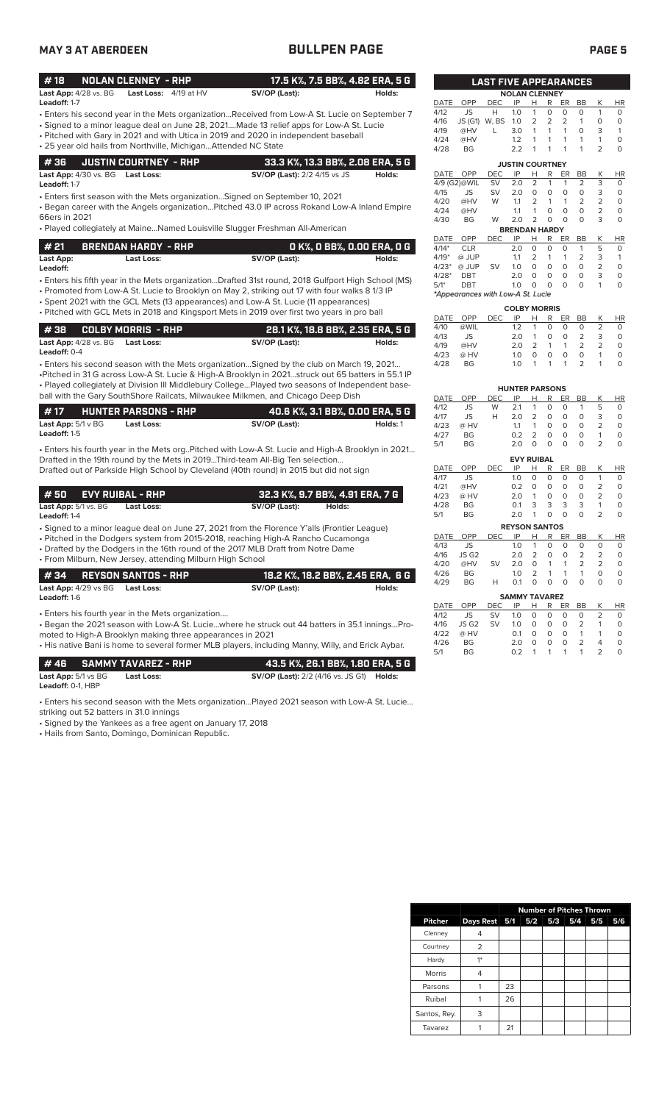### **MAY 3 AT ABERDEEN BULLPEN PAGE PAGE 5**

|--|--|

| #18                          | NOLAN CLENNEY - RHP            |               | 17.5 K%, 7.5 BB%, 4.82 ERA, 5 G |
|------------------------------|--------------------------------|---------------|---------------------------------|
| <b>Last App:</b> 4/28 vs. BG | <b>Last Loss:</b> $4/19$ at HV | SV/OP (Last): | Holds:                          |

- Enters his second year in the Mets organization...Received from Low-A St. Lucie on September 7 **Leadoff:** 1-7
- Signed to a minor league deal on June 28, 2021....Made 13 relief apps for Low-A St. Lucie
- Pitched with Gary in 2021 and with Utica in 2019 and 2020 in independent baseball • 25 year old hails from Northville, Michigan...Attended NC State

|  | 4 36     JUSTIN COURTNEY - RHP   | 33.3 K%, 13.3 BB%, 2.08 ERA, 5 G    |        |
|--|----------------------------------|-------------------------------------|--------|
|  | Last App: 4/30 vs. BG Last Loss: | <b>SV/OP (Last):</b> 2/2 4/15 vs JS | Holds: |

**Leadoff:** 1-7

• Enters first season with the Mets organization…Signed on September 10, 2021

• Began career with the Angels organization…Pitched 43.0 IP across Rokand Low-A Inland Empire 66ers in 2021

• Played collegiately at Maine…Named Louisville Slugger Freshman All-American

| #21       | <b>BRENDAN HARDY - RHP</b> | . O K%, O BB%, O.OO ERA, O G $\blacksquare$ |        |
|-----------|----------------------------|---------------------------------------------|--------|
| Last App: | Last Loss:                 | SV/OP (Last):                               | Holds: |

• Enters his fifth year in the Mets organization...Drafted 31st round, 2018 Gulfport High School (MS) **Leadoff:**

• Promoted from Low-A St. Lucie to Brooklyn on May 2, striking out 17 with four walks 8 1/3 IP

• Spent 2021 with the GCL Mets (13 appearances) and Low-A St. Lucie (11 appearances) • Pitched with GCL Mets in 2018 and Kingsport Mets in 2019 over first two years in pro ball

|                       |                                         | ' 28.1 K%, 18.8 BB%, 2.35 ERA, 5 G , |        |
|-----------------------|-----------------------------------------|--------------------------------------|--------|
|                       | <b>Last App:</b> 4/28 vs. BG Last Loss: | SV/OP (Last):                        | Holds: |
| <b>Leadoff:</b> $0-4$ |                                         |                                      |        |

• Enters his second season with the Mets organization…Signed by the club on March 19, 2021… •Pitched in 31 G across Low-A St. Lucie & High-A Brooklyn in 2021…struck out 65 batters in 55.1 IP • Played collegiately at Division III Middlebury College…Played two seasons of Independent baseball with the Gary SouthShore Railcats, Milwaukee Milkmen, and Chicago Deep Dish

| l #17                          | <b>HUNTER PARSONS - RHP</b> | 40.6 K%, 3.1 BB%, 0.00 ERA, 5 G |          |
|--------------------------------|-----------------------------|---------------------------------|----------|
| <b>Last App:</b> $5/1 \vee BG$ | Last Loss:                  | SV/OP (Last):                   | Holds: 1 |
| <b>Leadoff:</b> 1-5            |                             |                                 |          |

• Enters his fourth year in the Mets org..Pitched with Low-A St. Lucie and High-A Brooklyn in 2021… Drafted in the 19th round by the Mets in 2019...Third-team All-Big Ten selection... Drafted out of Parkside High School by Cleveland (40th round) in 2015 but did not sign

| l # 50                          | EVY RUIBAL - RHP |            |               | 32.3 K%, 9.7 BB%, 4.91 ERA, 7 G |
|---------------------------------|------------------|------------|---------------|---------------------------------|
| <b>Last App:</b> $5/1$ vs. $BG$ |                  | Last Loss: | SV/OP (Last): | Holds:                          |

**Leadoff:** 1-4

• Signed to a minor league deal on June 27, 2021 from the Florence Y'alls (Frontier League)

• Pitched in the Dodgers system from 2015-2018, reaching High-A Rancho Cucamonga

• Drafted by the Dodgers in the 16th round of the 2017 MLB Draft from Notre Dame

| • From Milburn, New Jersey, attending Milburn High School                                                                                                                                                                                                                                                             |                                  |        |  |  |
|-----------------------------------------------------------------------------------------------------------------------------------------------------------------------------------------------------------------------------------------------------------------------------------------------------------------------|----------------------------------|--------|--|--|
| REYSON SANTOS - RHP<br># 34                                                                                                                                                                                                                                                                                           | 18.2 K%, 18.2 BB%, 2.45 ERA, 6 G |        |  |  |
| Last App: 4/29 vs BG Last Loss:<br>Leadoff: 1-6                                                                                                                                                                                                                                                                       | SV/OP (Last):                    | Holds: |  |  |
| • Enters his fourth year in the Mets organization<br>- Began the 2021 season with Low-A St. Luciewhere he struck out 44 batters in 35.1 inningsPro-<br>moted to High-A Brooklyn making three appearances in 2021<br>. His native Bani is home to several former MLB players, including Manny, Willy, and Erick Aybar. |                                  |        |  |  |

|                                       | # 46       SAMMY TAVAREZ - RHP | 43.5 K%. 26.1 BB%. 1.80 ERA. 5 G                        |  |
|---------------------------------------|--------------------------------|---------------------------------------------------------|--|
| <b>Last App:</b> $5/1$ vs $BG$        | Last Loss:                     | <b>SV/OP (Last):</b> 2/2 (4/16 vs. JS G1) <b>Holds:</b> |  |
| <b>Leadoff: <math>0-1</math>. HBP</b> |                                |                                                         |  |

• Enters his second season with the Mets organization…Played 2021 season with Low-A St. Lucie…

striking out 52 batters in 31.0 innings

• Signed by the Yankees as a free agent on January 17, 2018

• Hails from Santo, Domingo, Dominican Republic.

|                      | <b>NOLAN CLENNEY</b>              |            |                        |                |                |                |                |                |    |
|----------------------|-----------------------------------|------------|------------------------|----------------|----------------|----------------|----------------|----------------|----|
| DATE                 | OPP                               | DEC        | IP                     | Н              | R              | ER             | BB             | Κ              | ΗR |
| 4/12                 | JS                                | Н          | 1.0                    | 1              | O              | 0              | 0              | 1              | 0  |
| 4/16                 | JS (G1)                           | W, BS      | 1.0                    | $\overline{2}$ | $\overline{2}$ | $\overline{2}$ | 1              | 0              | O  |
| 4/19                 | @HV                               | L          | 3.0                    | 1              | 1              | 1              | 0              | 3              | 1  |
| 4/24                 | @HV                               |            | 1.2                    | 1              | 1              | 1              | 1              | 1              | 0  |
| 4/28                 | BG                                |            | 2.2                    | 1              | 1              | 1              | 1              | $\overline{2}$ | O  |
|                      |                                   |            | <b>JUSTIN COURTNEY</b> |                |                |                |                |                |    |
| <b>DATE</b>          | OPP                               | DEC        | IP                     | Н              | R              | ER             | <b>BB</b>      | Κ              | HR |
|                      | 4/9 (G2)@WIL                      | SV         | 2.0                    | $\overline{2}$ | 1              | 1              | $\overline{2}$ | 3              | 0  |
| 4/15                 | <b>JS</b>                         | <b>SV</b>  | 2.0                    | 0              | O              | 0              | 0              | 3              | 0  |
| 4/20                 | @HV                               | W          | 1.1                    | $\overline{2}$ | 1              | 1              | $\overline{2}$ | 2              | 0  |
| 4/24                 | @HV                               |            | 1.1                    | 1              | 0              | 0              | 0              | 2              | 0  |
| 4/30                 | BG                                | W          | 2.0                    | $\overline{2}$ | O              | 0              | 0              | 3              | 0  |
|                      |                                   |            | <b>BRENDAN HARDY</b>   |                |                |                |                |                |    |
| DATE                 | OPP                               | DEC        | IP                     | Н              | R              | ER             | <b>BB</b>      | Κ              | ΗR |
| $4/14*$              | <b>CLR</b>                        |            | 2.0                    | 0              | O              | 0              | 1              | 5              | 0  |
| $4/19*$              | @ JUP                             |            | 1.1                    | $\overline{2}$ | 1              | 1              | $\overline{2}$ | 3              | 1  |
| $4/23*$              | @ JUP                             | SV         | 1.0                    | 0              | 0              | 0              | 0              | 2              | 0  |
| $4/28*$              | <b>DBT</b>                        |            | 2.0                    | O              | 0              | 0              | 0              | 3              | 0  |
| $5/1*$               | DBT                               |            | 1.0                    | 0              | 0              | $\Omega$       | 0              | 1              | O  |
|                      | *Appearances with Low-A St. Lucie |            |                        |                |                |                |                |                |    |
|                      |                                   |            | <b>COLBY MORRIS</b>    |                |                |                |                |                |    |
| <b>DATE</b>          | OPP                               | <b>DEC</b> | IP                     | Н              | R              | ER             | <b>BB</b>      | Κ              | HR |
| 4/10                 | @WIL                              |            | 1.2                    | 1              | O              | 0              | 0              | 2              | 0  |
| 4/13                 | JS                                |            | 2.0                    | 1              | O              | 0              | $\overline{2}$ | 3              | 0  |
| 4/19                 | @HV                               |            | 2.0                    | 2              | 1              | 1              | $\overline{2}$ | $\overline{2}$ | 0  |
| 4/23                 | @ HV                              |            | 1.0                    | 0              | O              | 0              | 0              | 1              | 0  |
| 4/28                 | <b>BG</b>                         |            | 1.0                    | 1              | 1              | 1              | $\overline{2}$ | 1              | 0  |
|                      |                                   |            |                        |                |                |                |                |                |    |
|                      |                                   |            | <b>HUNTER PARSONS</b>  |                |                |                |                |                |    |
| <b>DATE</b>          | OPP                               | <b>DEC</b> | IP                     | H              | R              | ER             | <b>BB</b>      | Κ              | HR |
| 4/12                 | JS                                | W          | 2.1                    | 1              | $\Omega$       | 0              | 1              | 5              | 0  |
| 4/17                 | JS                                | Н          | 2.0                    | 2              | 0              | 0              | 0              | 3              | 0  |
| 4/23                 | @ HV                              |            | 1.1                    | 1              | 0              | 0              | 0              | $\overline{2}$ | 0  |
| 4/27                 | BG                                |            | 0.2                    | 2              | 0              | 0              | 0              | 1              | 0  |
| 5/1                  | <b>BG</b>                         |            | 2.0                    | 0              | 0              | 0              | O              | 2              | 0  |
|                      |                                   |            | <b>EVY RUIBAL</b>      |                |                |                |                |                |    |
| DATE                 | OPP                               | DEC        | IP                     | Н              | R              | ER             | <b>BB</b>      | Κ              | ΗR |
| 4/17                 | JS                                |            | 1.0                    | O              | 0              | 0              | 0              | 1              | 0  |
| 4/21                 | @HV                               |            | 0.2                    | 0              | 0              | 0              | 0              | 2              | 0  |
| 4/23                 | @ HV                              |            | 2.0                    | 1              | 0              | 0              | 0              | $\overline{2}$ | 0  |
| 4/28                 | <b>BG</b>                         |            | 0.1                    | 3              | 3              | 3              | 3              | 1              | 0  |
| 5/1                  | <b>BG</b>                         |            | 2.0                    | 1              | 0              | 0              | 0              | 2              | 0  |
| <b>REYSON SANTOS</b> |                                   |            |                        |                |                |                |                |                |    |
| <b>DATE</b>          | OPP                               | <b>DEC</b> | IP                     | Н              | R              | ER             | BB             | Κ              | HR |
| 4/13                 | JS                                |            | 1.0                    | 1              | O              | O              | O              | 0              | 0  |
| 4/16                 | JS G2                             |            | 2.0                    | 2              | O              | 0              | 2              | 2              | 0  |
| 4/20                 | @HV                               | SV         | 2.0                    | 0              | 1              | 1              | $\overline{2}$ | $\overline{2}$ | 0  |
| 4/26                 | <b>BG</b>                         |            | 1.0                    | 2              | 1              | 1              | 1              | 0              | 0  |
| 4/29                 | BG                                | Н          | 0.1                    | 0              | O              | 0              | 0              | 0              | 0  |
|                      |                                   |            | <b>SAMMY TAVAREZ</b>   |                |                |                |                |                |    |
| <b>DATE</b>          | OPP                               | <b>DEC</b> | IP                     | Н              | R              | ER             | <b>BB</b>      | Κ              | HR |

4/12 JS SV 1.0 0 0 0 0 2 0 4/16 JS G2 SV 1.0 0 0 0 2 1 0 4/22 @HV 0.1 0 0 0 1 1 0 4/26 BG 2.0 0 0 0 2 4 0 5/1 BG 0.2 1 1 1 1 2 0

**LAST FIVE APPEARANCES**

|                |               |    |     |     |     | <b>Number of Pitches Thrown</b> |     |
|----------------|---------------|----|-----|-----|-----|---------------------------------|-----|
| <b>Pitcher</b> | Days Rest 5/1 |    | 5/2 | 5/3 | 5/4 | 5/5                             | 5/6 |
| Clenney        |               |    |     |     |     |                                 |     |
| Courtney       | 2             |    |     |     |     |                                 |     |
| Hardy          | $1*$          |    |     |     |     |                                 |     |
| Morris         | 4             |    |     |     |     |                                 |     |
| Parsons        |               | 23 |     |     |     |                                 |     |
| Ruibal         |               | 26 |     |     |     |                                 |     |
| Santos, Rey.   | 3             |    |     |     |     |                                 |     |
| Tavarez        |               | 21 |     |     |     |                                 |     |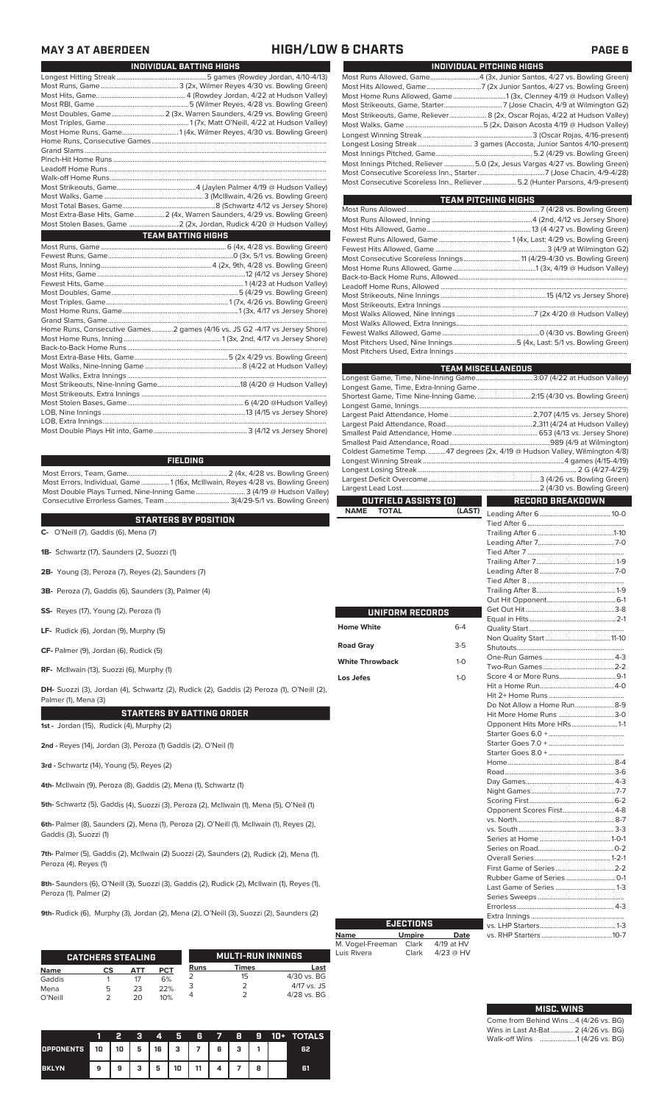### **MAY 3 AT ABERDEEN HIGH/LOW & CHARTS PAGE 6**

| INDIVIDUAL BATTING HIGHS                                                    |
|-----------------------------------------------------------------------------|
|                                                                             |
|                                                                             |
|                                                                             |
|                                                                             |
|                                                                             |
|                                                                             |
|                                                                             |
|                                                                             |
|                                                                             |
|                                                                             |
|                                                                             |
|                                                                             |
|                                                                             |
|                                                                             |
|                                                                             |
| Most Extra-Base Hits, Game 2 (4x, Warren Saunders, 4/29 vs. Bowling Green)  |
|                                                                             |
| <b>TEAM BATTING HIGHS</b>                                                   |
|                                                                             |
|                                                                             |
|                                                                             |
|                                                                             |
|                                                                             |
|                                                                             |
|                                                                             |
|                                                                             |
|                                                                             |
| Home Runs, Consecutive Games 2 games (4/16 vs. JS G2 -4/17 vs Jersey Shore) |
|                                                                             |
|                                                                             |
|                                                                             |
|                                                                             |
|                                                                             |
|                                                                             |
|                                                                             |
|                                                                             |
|                                                                             |
|                                                                             |
|                                                                             |
|                                                                             |

### **FIELDING**

Most Errors, Team, Game......................................................... 2 (4x, 4/28 vs. Bowling Green) Most Errors, Individual, Game................1 (16x, McIllwain, Reyes 4/28 vs. Bowling Green) Most Double Plays Turned, Nine-Inning Game............................ 3 (4/19 @ Hudson Valley) Consecutive Errorless Games, Team..................................... 3(4/29-5/1 vs. Bowling Green)

**STARTERS BY POSITION**

| <b>SIARIERS DI FUSILIUN</b>                                                                                       |
|-------------------------------------------------------------------------------------------------------------------|
| <b>C-</b> O'Neill (7), Gaddis (6), Mena (7)                                                                       |
| <b>1B-</b> Schwartz (17), Saunders (2, Suozzi (1)                                                                 |
| <b>2B-</b> Young (3), Peroza (7), Reyes (2), Saunders (7)                                                         |
| 3B- Peroza (7), Gaddis (6), Saunders (3), Palmer (4)                                                              |
| <b>SS-</b> Reyes (17), Young (2), Peroza (1)                                                                      |
| LF- Rudick $(6)$ , Jordan $(9)$ , Murphy $(5)$                                                                    |
| $CF-$ Palmer (9), Jordan (6), Rudick (5)                                                                          |
| RF- McIlwain (13), Suozzi (6), Murphy (1)                                                                         |
| DH- Suozzi (3), Jordan (4), Schwartz (2), Rudick (2), Gaddis (2) Peroza (1), O'Neill (2),<br>Palmer (1), Mena (3) |
| <b>STARTERS BY BATTING ORDER</b>                                                                                  |
| 1st - Jordan (15), Rudick (4), Murphy (2)                                                                         |
| 2nd - Reyes (14), Jordan (3), Peroza (1) Gaddis (2). O'Neil (1)                                                   |
| 3rd - Schwartz (14), Young (5), Reyes (2)                                                                         |
| 4th- McIlwain (9), Peroza (8), Gaddis (2), Mena (1), Schwartz (1)                                                 |

**5th-** Schwartz (5), Gaddis (4), Suozzi (3), Peroza (2), McIlwain (1), Mena (5), O'Neil (1)

**6th-** Palmer (8), Saunders (2), Mena (1), Peroza (2), O'Neill (1), McIlwain (1), Reyes (2), Gaddis (3), Suozzi (1)

**7th-** Palmer (5), Gaddis (2), McIlwain (2) Suozzi (2), Saunders (2), Rudick (2), Mena (1), Peroza (4), Reyes (1)

**8th-** Saunders (6), O'Neill (3), Suozzi (3), Gaddis (2), Rudick (2), McIlwain (1), Reyes (1), Peroza (1), Palmer (2)

**9th-** Rudick (6), Murphy (3), Jordan (2), Mena (2), O'Neill (3), Suozzi (2), Saunders (2)

|             | <b>CATCHERS STEALING</b> |     |            |             | <b>MULTI-RUN INNINGS</b> |               |
|-------------|--------------------------|-----|------------|-------------|--------------------------|---------------|
| <b>Name</b> | СS                       | ΔТΤ | <b>PCT</b> | <b>Runs</b> | Times                    | Last          |
| Gaddis      |                          |     | 6%         |             | 15                       | $4/30$ vs. BG |
| Mena        | 5                        | 23  | 22%        |             |                          | $4/17$ vs. JS |
| O'Neill     |                          | つの  | 10%        |             |                          | $4/28$ vs. BG |

|                  |    | 2  | я | 4  | Б  | 6          | $\rightarrow$ | 8 | 9         | 10+ | <b>TOTALS</b> |
|------------------|----|----|---|----|----|------------|---------------|---|-----------|-----|---------------|
| <b>OPPONENTS</b> | 10 | 10 | 5 | 16 | 3  | $-1$ 7 $+$ | 6             | ٠ |           |     | 62            |
| <b>BKLYN</b>     | 9  | 9  | 2 | 5  | 10 | 11         |               |   | $\bullet$ |     | 61            |

| INDIVIDUAL PITCHING HIGHS                                                    |  |
|------------------------------------------------------------------------------|--|
| Most Runs Allowed, Game4 (3x, Junior Santos, 4/27 vs. Bowling Green)         |  |
|                                                                              |  |
|                                                                              |  |
|                                                                              |  |
| Most Strikeouts, Game, Reliever 8 (2x, Oscar Rojas, 4/22 at Hudson Valley)   |  |
|                                                                              |  |
|                                                                              |  |
|                                                                              |  |
|                                                                              |  |
| Most Innings Pitched, Reliever 5.0 (2x, Jesus Vargas 4/27 vs. Bowling Green) |  |
|                                                                              |  |
| Most Consecutive Scoreless Inn., Reliever  5.2 (Hunter Parsons, 4/9-present) |  |

| <b>TEAM PITCHING HIGHS</b> |  |
|----------------------------|--|
|                            |  |
|                            |  |
|                            |  |
|                            |  |
|                            |  |
|                            |  |
|                            |  |
|                            |  |
|                            |  |
|                            |  |
|                            |  |
|                            |  |
|                            |  |
|                            |  |
|                            |  |
|                            |  |

|                                                                   |         | <b>TEAM MISCELLANEOUS</b>                                                    |  |  |  |  |  |  |  |
|-------------------------------------------------------------------|---------|------------------------------------------------------------------------------|--|--|--|--|--|--|--|
| Longest Game, Time, Nine-Inning Game 3:07 (4/22 at Hudson Valley) |         |                                                                              |  |  |  |  |  |  |  |
|                                                                   |         |                                                                              |  |  |  |  |  |  |  |
|                                                                   |         | Shortest Game, Time Nine-Inning Game. 2:15 (4/30 vs. Bowling Green)          |  |  |  |  |  |  |  |
|                                                                   |         |                                                                              |  |  |  |  |  |  |  |
|                                                                   |         |                                                                              |  |  |  |  |  |  |  |
|                                                                   |         |                                                                              |  |  |  |  |  |  |  |
|                                                                   |         |                                                                              |  |  |  |  |  |  |  |
|                                                                   |         |                                                                              |  |  |  |  |  |  |  |
|                                                                   |         | Coldest Gametime Temp. 47 degrees (2x, 4/19 @ Hudson Valley, Wilmington 4/8) |  |  |  |  |  |  |  |
|                                                                   |         |                                                                              |  |  |  |  |  |  |  |
|                                                                   |         |                                                                              |  |  |  |  |  |  |  |
|                                                                   |         |                                                                              |  |  |  |  |  |  |  |
|                                                                   |         |                                                                              |  |  |  |  |  |  |  |
| OUTFIELD ASSISTS (0)<br><b>TOTAL</b>                              |         | <b>RECORD BREAKDOWN</b>                                                      |  |  |  |  |  |  |  |
| <b>NAME</b>                                                       | (LAST)  |                                                                              |  |  |  |  |  |  |  |
|                                                                   |         |                                                                              |  |  |  |  |  |  |  |
|                                                                   |         |                                                                              |  |  |  |  |  |  |  |
|                                                                   |         |                                                                              |  |  |  |  |  |  |  |
|                                                                   |         |                                                                              |  |  |  |  |  |  |  |
|                                                                   |         |                                                                              |  |  |  |  |  |  |  |
|                                                                   |         |                                                                              |  |  |  |  |  |  |  |
|                                                                   |         |                                                                              |  |  |  |  |  |  |  |
|                                                                   |         |                                                                              |  |  |  |  |  |  |  |
|                                                                   |         |                                                                              |  |  |  |  |  |  |  |
| UNIFORM RECORDS                                                   |         |                                                                              |  |  |  |  |  |  |  |
|                                                                   |         |                                                                              |  |  |  |  |  |  |  |
| <b>Home White</b>                                                 | $6 - 4$ |                                                                              |  |  |  |  |  |  |  |
| <b>Road Gray</b>                                                  | $3-5$   |                                                                              |  |  |  |  |  |  |  |
|                                                                   |         |                                                                              |  |  |  |  |  |  |  |
| <b>White Throwback</b>                                            | $1-0$   |                                                                              |  |  |  |  |  |  |  |
|                                                                   |         |                                                                              |  |  |  |  |  |  |  |
| Los Jefes                                                         | $1-0$   |                                                                              |  |  |  |  |  |  |  |
|                                                                   |         |                                                                              |  |  |  |  |  |  |  |
|                                                                   |         |                                                                              |  |  |  |  |  |  |  |
|                                                                   |         | Do Not Allow a Home Run 8-9<br>Hit More Home Runs 3-0                        |  |  |  |  |  |  |  |
|                                                                   |         |                                                                              |  |  |  |  |  |  |  |
|                                                                   |         | Opponent Hits More HRs1-1                                                    |  |  |  |  |  |  |  |
|                                                                   |         |                                                                              |  |  |  |  |  |  |  |
|                                                                   |         |                                                                              |  |  |  |  |  |  |  |
|                                                                   |         |                                                                              |  |  |  |  |  |  |  |
|                                                                   |         |                                                                              |  |  |  |  |  |  |  |
|                                                                   |         |                                                                              |  |  |  |  |  |  |  |
|                                                                   |         |                                                                              |  |  |  |  |  |  |  |
|                                                                   |         |                                                                              |  |  |  |  |  |  |  |
|                                                                   |         | Opponent Scores First 4-8                                                    |  |  |  |  |  |  |  |
|                                                                   |         |                                                                              |  |  |  |  |  |  |  |
|                                                                   |         |                                                                              |  |  |  |  |  |  |  |
|                                                                   |         |                                                                              |  |  |  |  |  |  |  |
|                                                                   |         |                                                                              |  |  |  |  |  |  |  |
|                                                                   |         |                                                                              |  |  |  |  |  |  |  |
|                                                                   |         |                                                                              |  |  |  |  |  |  |  |
|                                                                   |         |                                                                              |  |  |  |  |  |  |  |
|                                                                   |         |                                                                              |  |  |  |  |  |  |  |
|                                                                   |         |                                                                              |  |  |  |  |  |  |  |
|                                                                   |         |                                                                              |  |  |  |  |  |  |  |

| <b>EJECTIONS</b>          |             |
|---------------------------|-------------|
| <b>Umpire</b>             | Date        |
| M. Vogel-Freeman<br>Clark | 4/19 at HV  |
| Clark                     | $4/23$ @ HV |
|                           |             |

| <b>MISC. WINS</b>                     |
|---------------------------------------|
| Come from Behind Wins 4 (4/26 vs. BG) |
| Wins in Last At-Bat 2 (4/26 vs. BG)   |
|                                       |

Extra Innings .....................................................

vs. RHP Starters ........................................10-7

vs. LHP Starters.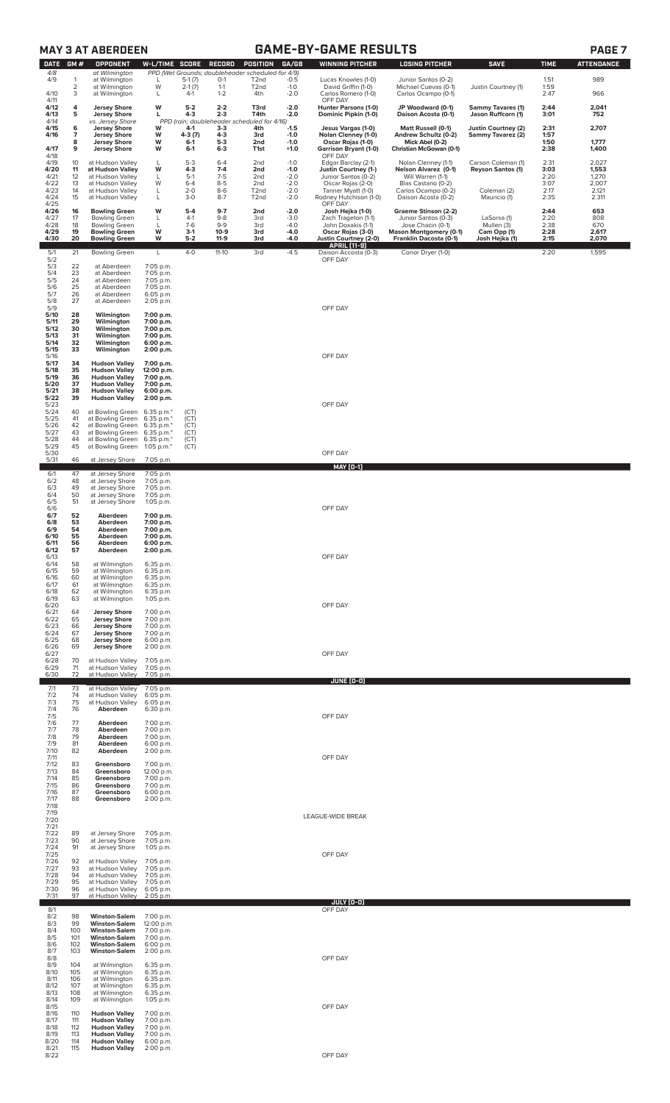|                      |                   | <b>MAY 3 AT ABERDEEN</b>                                             |                                        |                      |                     |                                                                      |                  | <b>GAME-BY-GAME RESULTS</b>                                          |                                                    |                                                |              | PAGE <sub>7</sub> |
|----------------------|-------------------|----------------------------------------------------------------------|----------------------------------------|----------------------|---------------------|----------------------------------------------------------------------|------------------|----------------------------------------------------------------------|----------------------------------------------------|------------------------------------------------|--------------|-------------------|
| <b>DATE</b><br>4/8   | GM#               | <b>OPPONENT</b><br>at Wilmington                                     | W-L/TIME SCORE                         |                      | <b>RECORD</b>       | <b>POSITION</b><br>PPD (Wet Grounds; doubleheader scheduled for 4/9) | GA/GB            | <b>WINNING PITCHER</b>                                               | <b>LOSING PITCHER</b>                              | <b>SAVE</b>                                    | <b>TIME</b>  | <b>ATTENDANCE</b> |
| 4/9                  | 1<br>2            | at Wilmington<br>at Wilmington                                       | L<br>W                                 | $5-1(7)$<br>$2-1(7)$ | $O-1$<br>$1 - 1$    | T <sub>2</sub> nd<br>T <sub>2</sub> nd                               | $-0.5$<br>$-1.0$ | Lucas Knowles (1-0)<br>David Griffin (1-0)                           | Junior Santos (0-2)<br>Michael Cuevas (0-1)        | Justin Courtney (1)                            | 1:51<br>1:59 | 989               |
| 4/10<br>4/11         | 3                 | at Wilmington                                                        | L                                      | $4-1$                | $1 - 2$             | 4th                                                                  | $-2.0$           | Carlos Romero (1-0)<br>OFF DAY                                       | Carlos Ocampo (0-1)                                |                                                | 2:47         | 966               |
| 4/12<br>4/13<br>4/14 | 4<br>5            | <b>Jersey Shore</b><br><b>Jersey Shore</b><br>vs. Jersey Shore       | W<br>L                                 | $5-2$<br>$4 - 3$     | $2 - 2$<br>$2 - 3$  | T3rd<br>T4th<br>PPD (rain; doubleheader scheduled for 4/16)          | $-2.0$<br>$-2.0$ | Hunter Parsons (1-0)<br>Dominic Pipkin (1-0)                         | JP Woodward (0-1)<br>Daison Acosta (0-1)           | <b>Sammy Tavares (1)</b><br>Jason Ruffcorn (1) | 2:44<br>3:01 | 2,041<br>752      |
| 4/15<br>4/16         | 6<br>7            | <b>Jersey Shore</b><br><b>Jersey Shore</b>                           | W<br>W                                 | 4-1<br>4-3 (7)       | $3-3$<br>4-3        | 4th<br>3rd                                                           | $-1.5$<br>$-1.0$ | Jesus Vargas (1-0)<br>Nolan Clenney (1-0)                            | Matt Russell (0-1)<br>Andrew Schultz (0-2)         | Justin Courtney (2)<br>Sammy Tavarez (2)       | 2:31<br>1:57 | 2,707             |
| 4/17                 | 8<br>9            | <b>Jersey Shore</b><br><b>Jersey Shore</b>                           | W<br>W                                 | $6 - 1$<br>$6-1$     | $5-3$<br>$6 - 3$    | 2nd<br>T1st                                                          | $-1.0$<br>$+1.0$ | Oscar Rojas (1-0)<br><b>Garrison Bryant (1-0)</b>                    | Mick Abel (0-2)<br>Christian McGowan (0-1)         |                                                | 1:50<br>2:38 | 1,777<br>1,400    |
| 4/18<br>4/19<br>4/20 | 10<br>11          | at Hudson Valley<br>at Hudson Valley                                 | L<br>W                                 | $5 - 3$<br>$4 - 3$   | $6 - 4$<br>$7 - 4$  | 2nd<br>2nd                                                           | $-1.0$<br>$-1.0$ | OFF DAY<br>Edgar Barclay (2-1)<br><b>Justin Courtney (1-)</b>        | Nolan Clenney (1-1)<br>Nelson Alvarez (0-1)        | Carson Coleman (1)<br><b>Reyson Santos (1)</b> | 2:31<br>3:03 | 2,027<br>1,553    |
| 4/21<br>4/22         | 12<br>13          | at Hudson Valley<br>at Hudson Valley                                 | L<br>W                                 | $5-1$<br>$6 - 4$     | $7-5$<br>$8 - 5$    | 2nd<br>2nd                                                           | $-2.0$<br>$-2.0$ | Junior Santos (0-2)<br>Oscar Rojas (2-0)                             | Will Warren (1-1)<br>Blas Castano (0-2)            |                                                | 2:20<br>3:07 | 1,270<br>2,007    |
| 4/23<br>4/24<br>4/25 | 14<br>15          | at Hudson Valley<br>at Hudson Valley                                 | L<br>L                                 | $2 - 0$<br>$3 - 0$   | $8-6$<br>$8 - 7$    | T <sub>2</sub> nd<br>T <sub>2</sub> nd                               | $-2.0$<br>$-2.0$ | Tanner Myatt (1-0)<br>Rodney Hutchison (1-0)<br>OFF DAY              | Carlos Ocampo (0-2)<br>Daison Acosta (0-2)         | Coleman (2)<br>Mauricio (1)                    | 2:17<br>2:35 | 2,121<br>2.311    |
| 4/26<br>4/27         | 16<br>17          | <b>Bowling Green</b><br><b>Bowling Green</b>                         | W<br>L                                 | $5-4$<br>$4-1$       | $9 - 7$<br>$9 - 8$  | 2nd<br>3rd                                                           | $-2.0$<br>$-3.0$ | Josh Hejka (1-0)<br>Zach Trageton (1-1)                              | Graeme Stinson (2-2)<br>Junior Santos (0-3)        | LaSorsa (1)                                    | 2:44<br>2:20 | 653<br>808        |
| 4/28<br>4/29         | 18<br>19          | <b>Bowling Green</b><br><b>Bowling Green</b>                         | L<br>W                                 | $7-6$<br>$3-1$       | $9 - 9$<br>$10-9$   | 3rd<br>3rd                                                           | $-4.0$<br>-4.0   | John Doxakis (1-1)<br>Oscar Rojas (3-0)                              | Jose Chacin (0-1)<br><b>Mason Montgomery (0-1)</b> | Mullen (3)<br>Cam Opp (1)                      | 2:38<br>2:28 | 670<br>2,617      |
| 4/30<br>5/1          | 20<br>21          | <b>Bowling Green</b><br><b>Bowling Green</b>                         | W<br>L                                 | $5-2$<br>$4-0$       | $11-9$<br>$11 - 10$ | 3rd<br>3rd                                                           | $-4.0$<br>$-4.5$ | Justin Courtney (2-0)<br><b>APRIL</b> [11-9]<br>Daison Accosta (0-3) | Franklin Dacosta (0-1)<br>Conor Dryer (1-0)        | Josh Hejka (1)                                 | 2:15<br>2:20 | 2,070<br>1,595    |
| 5/2<br>$\frac{5}{3}$ | 22                | at Aberdeen                                                          | 7:05 p.m.                              |                      |                     |                                                                      |                  | OFF DAY                                                              |                                                    |                                                |              |                   |
| 5/5<br>5/6           | 23<br>24<br>25    | at Aberdeen<br>at Aberdeen<br>at Aberdeen                            | 7:05 p.m.<br>7:05 p.m.<br>7:05 p.m.    |                      |                     |                                                                      |                  |                                                                      |                                                    |                                                |              |                   |
| 5/7<br>5/8           | 26<br>27          | at Aberdeen<br>at Aberdeen                                           | 6:05 p.m.<br>2:05 p.m.                 |                      |                     |                                                                      |                  |                                                                      |                                                    |                                                |              |                   |
| 5/9<br>5/10<br>5/11  | 28<br>29          | Wilmington<br>Wilmington                                             | 7:00 p.m.<br>7:00 p.m.                 |                      |                     |                                                                      |                  | OFF DAY                                                              |                                                    |                                                |              |                   |
| 5/12<br>5/13         | 30<br>31          | Wilmington<br>Wilmington                                             | 7:00 p.m.<br>7:00 p.m.                 |                      |                     |                                                                      |                  |                                                                      |                                                    |                                                |              |                   |
| 5/14<br>5/15         | 32<br>33          | Wilmington<br>Wilmington                                             | 6:00 p.m.<br>2:00 p.m.                 |                      |                     |                                                                      |                  | OFF DAY                                                              |                                                    |                                                |              |                   |
| 5/16<br>5/17<br>5/18 | 34<br>35          | <b>Hudson Valley</b><br><b>Hudson Valley</b>                         | 7:00 p.m.<br>12:00 p.m.                |                      |                     |                                                                      |                  |                                                                      |                                                    |                                                |              |                   |
| 5/19<br>5/20         | 36<br>37          | <b>Hudson Valley</b><br><b>Hudson Valley</b>                         | 7:00 p.m.<br>7:00 p.m.                 |                      |                     |                                                                      |                  |                                                                      |                                                    |                                                |              |                   |
| 5/21<br>5/22<br>5/23 | 38<br>39          | <b>Hudson Valley</b><br><b>Hudson Valley</b>                         | 6:00 p.m.<br>2:00 p.m.                 |                      |                     |                                                                      |                  | OFF DAY                                                              |                                                    |                                                |              |                   |
| 5/24<br>5/25         | 40<br>41          | at Bowling Green<br>at Bowling Green                                 | 6:35 p.m.*<br>6:35 p.m.*               | (CT)<br>(CT)         |                     |                                                                      |                  |                                                                      |                                                    |                                                |              |                   |
| 5/26<br>5/27<br>5/28 | 42<br>43<br>44    | at Bowling Green<br>at Bowling Green<br>at Bowling Green             | 6:35 p.m.*<br>6:35 p.m.*<br>6:35 p.m.* | (CT)<br>(CT)<br>(CT) |                     |                                                                      |                  |                                                                      |                                                    |                                                |              |                   |
| 5/29<br>5/30         | 45                | at Bowling Green                                                     | 1:05 p.m.*                             | (CT)                 |                     |                                                                      |                  | OFF DAY                                                              |                                                    |                                                |              |                   |
| 5/31<br>6/1          | 46<br>47          | at Jersey Shore<br>at Jersey Shore                                   | 7:05 p.m.<br>7:05 p.m.                 |                      |                     |                                                                      |                  | <b>MAY [0-1]</b>                                                     |                                                    |                                                |              |                   |
| 6/2<br>6/3           | 48<br>49          | at Jersey Shore<br>at Jersey Shore                                   | 7:05 p.m.<br>7:05 p.m.                 |                      |                     |                                                                      |                  |                                                                      |                                                    |                                                |              |                   |
| 6/4<br>6/5<br>6/6    | 50<br>51          | at Jersey Shore<br>at Jersey Shore                                   | 7:05 p.m.<br>1:05 p.m.                 |                      |                     |                                                                      |                  | OFF DAY                                                              |                                                    |                                                |              |                   |
| 6/7<br>6/8           | 52<br>53          | Aberdeen<br>Aberdeen                                                 | 7:00 p.m.<br>7:00 p.m.                 |                      |                     |                                                                      |                  |                                                                      |                                                    |                                                |              |                   |
| 6/9<br>6/10<br>6/11  | 54<br>55<br>56    | Aberdeen<br>Aberdeen<br>Aberdeen                                     | 7:00 p.m.<br>7:00 p.m.<br>6:00 p.m.    |                      |                     |                                                                      |                  |                                                                      |                                                    |                                                |              |                   |
| 6/12<br>6/13         | 57                | Aberdeen                                                             | 2:00 p.m.                              |                      |                     |                                                                      |                  | OFF DAY                                                              |                                                    |                                                |              |                   |
| 6/14<br>6/15<br>6/16 | 58<br>59<br>60    | at Wilmington<br>at Wilmington<br>at Wilmington                      | 6:35 p.m.<br>6:35 p.m.<br>6:35 p.m.    |                      |                     |                                                                      |                  |                                                                      |                                                    |                                                |              |                   |
| 6/17<br>6/18         | 61<br>62          | at Wilmington<br>at Wilmington                                       | 6:35 p.m.<br>6:35 p.m.                 |                      |                     |                                                                      |                  |                                                                      |                                                    |                                                |              |                   |
| 6/19<br>6/20<br>6/21 | 63<br>64          | at Wilmington<br><b>Jersey Shore</b>                                 | 1:05 p.m.<br>7:00 p.m.                 |                      |                     |                                                                      |                  | OFF DAY                                                              |                                                    |                                                |              |                   |
| 6/22<br>6/23         | 65<br>66          | <b>Jersey Shore</b><br><b>Jersey Shore</b>                           | 7:00 p.m.<br>7:00 p.m.                 |                      |                     |                                                                      |                  |                                                                      |                                                    |                                                |              |                   |
| 6/24<br>6/25<br>6/26 | 67<br>68<br>69    | <b>Jersey Shore</b><br><b>Jersey Shore</b><br><b>Jersey Shore</b>    | 7:00 p.m.<br>6:00 p.m.<br>2:00 p.m.    |                      |                     |                                                                      |                  |                                                                      |                                                    |                                                |              |                   |
| 6/27<br>6/28<br>6/29 | 70<br>71          | at Hudson Valley<br>at Hudson Valley                                 | 7:05 p.m.                              |                      |                     |                                                                      |                  | OFF DAY                                                              |                                                    |                                                |              |                   |
| 6/30                 | 72                | at Hudson Valley                                                     | 7:05 p.m.<br>7:05 p.m.                 |                      |                     |                                                                      |                  | JUNE (0-0)                                                           |                                                    |                                                |              |                   |
| 7/1<br>7/2<br>7/3    | 73<br>74<br>75    | at Hudson Valley<br>at Hudson Valley<br>at Hudson Valley             | 7:05 p.m.<br>6:05 p.m.<br>6:05 p.m.    |                      |                     |                                                                      |                  |                                                                      |                                                    |                                                |              |                   |
| 7/4<br>7/5           | 76                | Aberdeen                                                             | 6:30 p.m.                              |                      |                     |                                                                      |                  | OFF DAY                                                              |                                                    |                                                |              |                   |
| 7/6<br>7/7<br>7/8    | 77<br>78<br>79    | Aberdeen<br>Aberdeen<br>Aberdeen                                     | 7:00 p.m.<br>7:00 p.m.<br>7:00 p.m.    |                      |                     |                                                                      |                  |                                                                      |                                                    |                                                |              |                   |
| 7/9<br>7/10          | 81<br>82          | Aberdeen<br>Aberdeen                                                 | 6:00 p.m.<br>2:00 p.m.                 |                      |                     |                                                                      |                  |                                                                      |                                                    |                                                |              |                   |
| 7/11<br>7/12<br>7/13 | 83<br>84          | Greensboro<br>Greensboro                                             | 7:00 p.m.<br>12:00 p.m.                |                      |                     |                                                                      |                  | OFF DAY                                                              |                                                    |                                                |              |                   |
| 7/14<br>7/15         | 85<br>86          | Greensboro<br>Greensboro                                             | 7:00 p.m.<br>7:00 p.m.                 |                      |                     |                                                                      |                  |                                                                      |                                                    |                                                |              |                   |
| 7/16<br>7/17<br>7/18 | 87<br>88          | Greensboro<br>Greensboro                                             | 6:00 p.m.<br>2:00 p.m.                 |                      |                     |                                                                      |                  |                                                                      |                                                    |                                                |              |                   |
| 7/19<br>7/20         |                   |                                                                      |                                        |                      |                     |                                                                      |                  | LEAGUE-WIDE BREAK                                                    |                                                    |                                                |              |                   |
| 7/21<br>7/22<br>7/23 | 89<br>90          | at Jersey Shore<br>at Jersey Shore                                   | 7:05 p.m.<br>7:05 p.m.                 |                      |                     |                                                                      |                  |                                                                      |                                                    |                                                |              |                   |
| 7/24<br>7/25         | 91                | at Jersey Shore                                                      | 1:05 p.m.                              |                      |                     |                                                                      |                  | OFF DAY                                                              |                                                    |                                                |              |                   |
| 7/26<br>7/27<br>7/28 | 92<br>93<br>94    | at Hudson Valley<br>at Hudson Valley<br>at Hudson Valley             | 7:05 p.m.<br>7:05 p.m.<br>7:05 p.m.    |                      |                     |                                                                      |                  |                                                                      |                                                    |                                                |              |                   |
| 7/29<br>7/30         | 95<br>96          | at Hudson Valley<br>at Hudson Valley                                 | 7:05 p.m.<br>6:05 p.m.                 |                      |                     |                                                                      |                  |                                                                      |                                                    |                                                |              |                   |
| 7/31<br>8/1          | 97                | at Hudson Valley                                                     | 2:05 p.m.                              |                      |                     |                                                                      |                  | <b>JULY [0-0]</b><br>OFF DAY                                         |                                                    |                                                |              |                   |
| 8/2<br>8/3<br>8/4    | 98<br>99<br>100   | <b>Winston-Salem</b><br><b>Winston-Salem</b><br><b>Winston-Salem</b> | 7:00 p.m.<br>12:00 p.m.<br>7:00 p.m.   |                      |                     |                                                                      |                  |                                                                      |                                                    |                                                |              |                   |
| 8/5<br>8/6           | 101<br>102        | <b>Winston-Salem</b><br><b>Winston-Salem</b>                         | 7:00 p.m.<br>6:00 p.m.                 |                      |                     |                                                                      |                  |                                                                      |                                                    |                                                |              |                   |
| 8/7<br>8/8           | 103               | <b>Winston-Salem</b>                                                 | 2:00 p.m.                              |                      |                     |                                                                      |                  | OFF DAY                                                              |                                                    |                                                |              |                   |
| 8/9<br>8/10<br>8/11  | 104<br>105<br>106 | at Wilmington<br>at Wilmington<br>at Wilmington                      | 6:35 p.m.<br>6:35 p.m.<br>6:35 p.m.    |                      |                     |                                                                      |                  |                                                                      |                                                    |                                                |              |                   |
| 8/12<br>8/13<br>8/14 | 107<br>108<br>109 | at Wilmington<br>at Wilmington<br>at Wilmington                      | 6:35 p.m.<br>6:35 p.m.                 |                      |                     |                                                                      |                  |                                                                      |                                                    |                                                |              |                   |
| 8/15<br>8/16         | 110               | <b>Hudson Valley</b>                                                 | $1:05$ p.m.<br>7:00 p.m.               |                      |                     |                                                                      |                  | OFF DAY                                                              |                                                    |                                                |              |                   |
| 8/17<br>8/18<br>8/19 | 111<br>112<br>113 | <b>Hudson Valley</b><br><b>Hudson Valley</b><br><b>Hudson Valley</b> | 7:00 p.m.<br>7:00 p.m.<br>7:00 p.m.    |                      |                     |                                                                      |                  |                                                                      |                                                    |                                                |              |                   |
| 8/20<br>8/21         | 114<br>115        | <b>Hudson Vallev</b><br><b>Hudson Valley</b>                         | 6:00 p.m.<br>2:00 p.m.                 |                      |                     |                                                                      |                  |                                                                      |                                                    |                                                |              |                   |
| 8/22                 |                   |                                                                      |                                        |                      |                     |                                                                      |                  | OFF DAY                                                              |                                                    |                                                |              |                   |